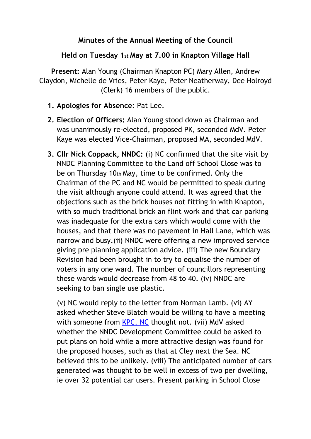## **Minutes of the Annual Meeting of the Council**

## **Held on Tuesday 1st May at 7.00 in Knapton Village Hall**

**Present:** Alan Young (Chairman Knapton PC) Mary Allen, Andrew Claydon, Michelle de Vries, Peter Kaye, Peter Neatherway, Dee Holroyd (Clerk) 16 members of the public.

- **1. Apologies for Absence:** Pat Lee.
- **2. Election of Officers:** Alan Young stood down as Chairman and was unanimously re-elected, proposed PK, seconded MdV. Peter Kaye was elected Vice-Chairman, proposed MA, seconded MdV.
- **3. Cllr Nick Coppack, NNDC:** (i) NC confirmed that the site visit by NNDC Planning Committee to the Land off School Close was to be on Thursday 10th May, time to be confirmed. Only the Chairman of the PC and NC would be permitted to speak during the visit although anyone could attend. It was agreed that the objections such as the brick houses not fitting in with Knapton, with so much traditional brick an flint work and that car parking was inadequate for the extra cars which would come with the houses, and that there was no pavement in Hall Lane, which was narrow and busy.(ii) NNDC were offering a new improved service giving pre planning application advice. (iii) The new Boundary Revision had been brought in to try to equalise the number of voters in any one ward. The number of councillors representing these wards would decrease from 48 to 40. (iv) NNDC are seeking to ban single use plastic.

(v) NC would reply to the letter from Norman Lamb. (vi) AY asked whether Steve Blatch would be willing to have a meeting with someone from KPC. NC thought not. (vii) MdV asked whether the NNDC Development Committee could be asked to put plans on hold while a more attractive design was found for the proposed houses, such as that at Cley next the Sea. NC believed this to be unlikely. (viii) The anticipated number of cars generated was thought to be well in excess of two per dwelling, ie over 32 potential car users. Present parking in School Close